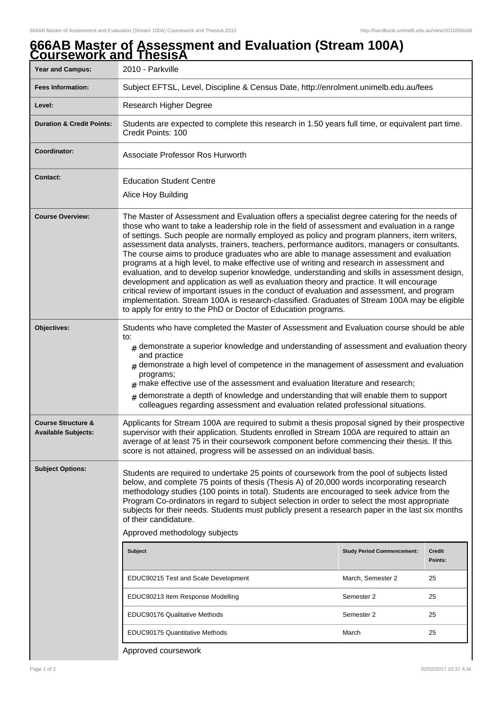## **Year and Campus:** 2010 - Parkville **Fees Information:** [Subject EFTSL, Level, Discipline & Census Date, http://enrolment.unimelb.edu.au/fees](http://enrolment.unimelb.edu.au/fees) Level: Research Higher Degree **Duration & Credit Points:** Students are expected to complete this research in 1.50 years full time, or equivalent part time. Credit Points: 100 **Coordinator:** Associate Professor Ros Hurworth **Contact:** Education Student Centre Alice Hoy Building **Course Overview:** The Master of Assessment and Evaluation offers a specialist degree catering for the needs of those who want to take a leadership role in the field of assessment and evaluation in a range of settings. Such people are normally employed as policy and program planners, item writers, assessment data analysts, trainers, teachers, performance auditors, managers or consultants. The course aims to produce graduates who are able to manage assessment and evaluation programs at a high level, to make effective use of writing and research in assessment and evaluation, and to develop superior knowledge, understanding and skills in assessment design, development and application as well as evaluation theory and practice. It will encourage critical review of important issues in the conduct of evaluation and assessment, and program implementation. Stream 100A is research-classified. Graduates of Stream 100A may be eligible to apply for entry to the PhD or Doctor of Education programs. **Objectives:** Students who have completed the Master of Assessment and Evaluation course should be able to:  ${}_{\#}$  demonstrate a superior knowledge and understanding of assessment and evaluation theory and practice  ${}_{\#}$  demonstrate a high level of competence in the management of assessment and evaluation programs;  $#$  make effective use of the assessment and evaluation literature and research;  ${}_{\#}$  demonstrate a depth of knowledge and understanding that will enable them to support colleagues regarding assessment and evaluation related professional situations. **Course Structure & Available Subjects:** Applicants for Stream 100A are required to submit a thesis proposal signed by their prospective supervisor with their application. Students enrolled in Stream 100A are required to attain an average of at least 75 in their coursework component before commencing their thesis. If this score is not attained, progress will be assessed on an individual basis. **Subject Options:** Students are required to undertake 25 points of coursework from the pool of subjects listed below, and complete 75 points of thesis (Thesis A) of 20,000 words incorporating research methodology studies (100 points in total). Students are encouraged to seek advice from the Program Co-ordinators in regard to subject selection in order to select the most appropriate subjects for their needs. Students must publicly present a research paper in the last six months of their candidature. Approved methodology subjects **Subject Study Period Commencement: Credit Points:** EDUC90215 Test and Scale Development March, Semester 2 25 EDUC90213 Item Response Modelling Semester 2 25 EDUC90176 Qualitative Methods **Semester 2** 25 EDUC90175 Quantitative Methods March 25

## **666AB Master of Assessment and Evaluation (Stream 100A) Coursework and ThesisA**

Approved coursework